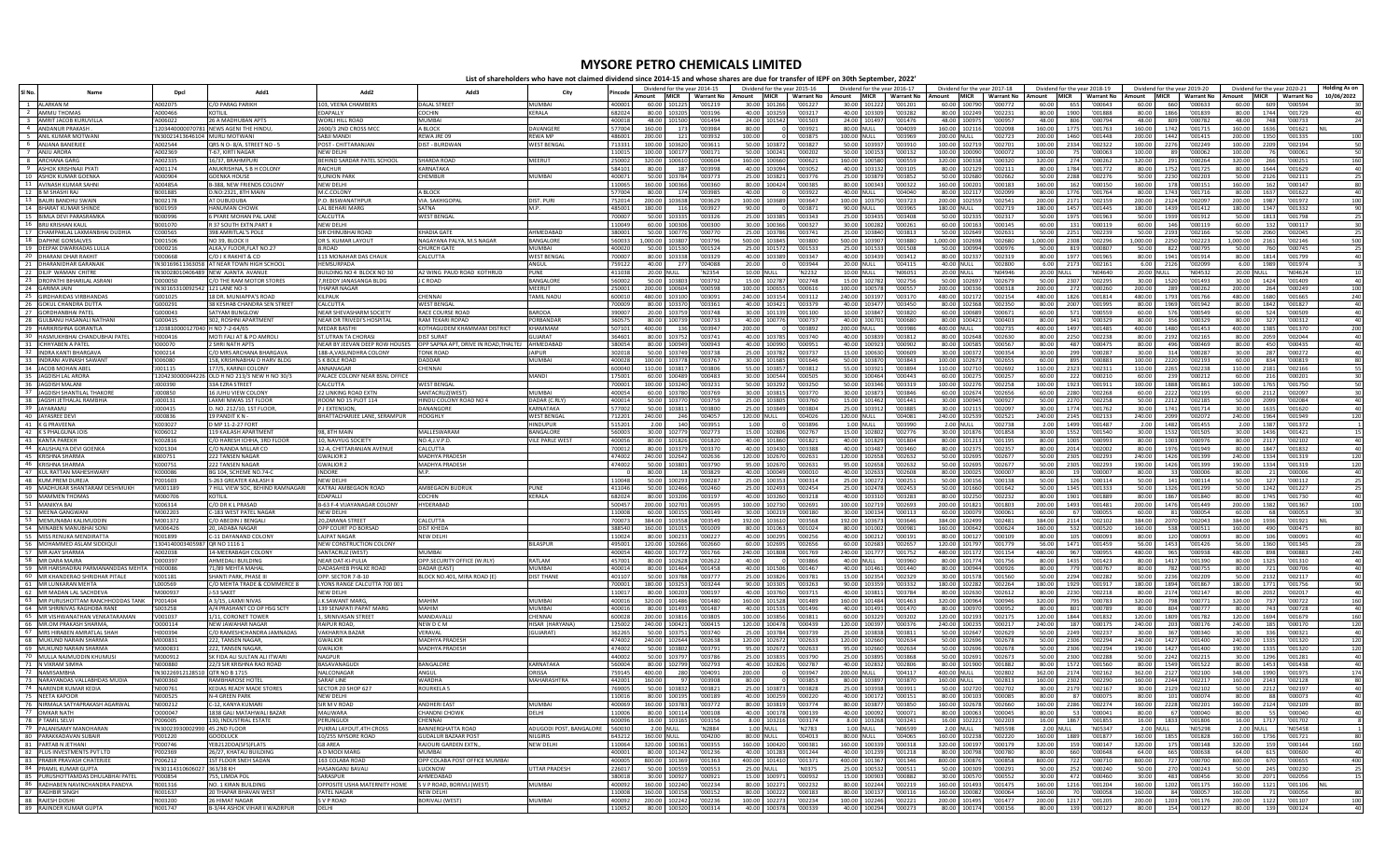## **MYSORE PETRO CHEMICALS LIMITED**

**List of shareholders who have not claimed dividend since 2014-15 and whose shares are due for transfer of IEPF on 30th September, 2022'**

|                                                             | Dpc                                         | Add1                                                 |                                                             | Add3                                                      | City                               | 'incode          | Dividend for the year 2014-15        |                    |                                 | Dividend for the year 2015-16         | Dividend for the year 2016-17<br>Amount MICR Warrant No Amount MICR Warrant No Amount MICR Warrant No Amount MICR Warrant No |                                 | Dividend for the year 2017-18 | Dividend for the year 2018-19   |                    |                   |                     | Dividend for the year 2019-20 |                        | Dividend for the year 2020-21<br>Amount MICR   Warrant No   Amount   MICR   Warrant No   Amount   MICR   Warrant No |            |
|-------------------------------------------------------------|---------------------------------------------|------------------------------------------------------|-------------------------------------------------------------|-----------------------------------------------------------|------------------------------------|------------------|--------------------------------------|--------------------|---------------------------------|---------------------------------------|------------------------------------------------------------------------------------------------------------------------------|---------------------------------|-------------------------------|---------------------------------|--------------------|-------------------|---------------------|-------------------------------|------------------------|---------------------------------------------------------------------------------------------------------------------|------------|
| 1 ALARKAN M                                                 | A002075                                     | C/O PARAG PARIKH                                     | 103. VEENA CHAMBERS                                         | <b>DALAL STREET</b>                                       | <b>MUMBAI</b>                      | 400001           | 60.00 101225                         | '001219            | 30.00 101266                    | '001227                               | 30.00 101222<br>'001201                                                                                                      | 60.00 100790                    | '000772                       | 60.00 655                       | '000643            |                   | 60.00 660           | '000633                       | 60.00                  | 609 '000594                                                                                                         | 10/06/2022 |
| 2 AMMU THOMAS                                               | A000466                                     | <b>KOTILII</b>                                       | <b>FDAPALLY</b>                                             | <b>COCHIN</b>                                             | <b>KFRAIA</b>                      | 682024           | 80.00 103205                         | '003196            | 40.00 103259                    | '003217                               | 40.00 103309<br>'003282                                                                                                      | 80.00 102249                    | '002231                       | 80.00<br>1900                   | '001888            | 80.00             | 1866                | '001839                       | 80.00                  | 1744<br>'001729                                                                                                     | 40         |
| 3 AMRIT JACOB KURUVILLA                                     | A006022                                     | 26 A MADHUBAN APTS                                   | WORLI HILL ROAD                                             | <b>MUMBAI</b>                                             |                                    | 400018           | 48.00 101500                         | '001494            |                                 | 24.00 101542 '001503                  | 24.00 101497<br>'001476                                                                                                      | 48.00 100975                    | '000957                       | 48.00<br>806                    | '000794            | 48.00             | 809                 | '000782                       | 48.00                  | 748<br>'000733                                                                                                      |            |
| 4 ANDANUR PRAKASH                                           |                                             | 1203440000070781 NEWS AGENITHE HINDL                 | 2600/3 2ND CROSS MC                                         | A BLOCK                                                   | DAVANGERE                          | 577004           | 160.00<br>173                        | '003984            | 80.00                           | '003921<br>$^{\circ}$                 | 80.00 NULL<br>'004039                                                                                                        | 160.00 102116                   | '002098                       | 160.00 1775                     | '001763            | 160.00            | 1742                | '001715                       | 160.00                 | 1636<br>'001621                                                                                                     |            |
| 5 ANIL KUMAR MOTWAN                                         | 'IN30021413646104 MURLI MOTWANI             |                                                      | SABILMANDI                                                  | REWA JRE 09                                               | <b>RFWA MP</b>                     | 486001           | 200.00<br>121                        | '003932            | 100.00                          | '003875                               | 100.00 NULL<br>'003969                                                                                                       | 200.00 NULL                     | '002723                       | 200.00<br>1460                  | '001448            | 200.00            | 1442                | '001415                       | 200.00                 | 1350<br>'001335                                                                                                     | 100        |
| 6 ANJANA BANERJEE<br>ANJU ARORA                             | A002544<br>A002369                          | QRS N O-8/A, STREET NO - 5<br>T-67, KIRTI NAGAR      | POST - CHITTARANJAN<br>NEW DELHI                            | DIST - BURDWAN                                            | WEST BENGA                         | 713331<br>110015 | 100.00<br>103620<br>100.00<br>100177 | '003611<br>'000171 | 50.00 103872<br>50.00 100241    | '003827<br>'000202                    | 50.00 103937<br>'003910<br>50.00<br>100153<br>'000132                                                                        | 100.00 102719<br>100.00         | '002701<br>'000072<br>100090  | 100.00 2334<br>100.00           | '002322<br>'000063 | 100.00<br>100.00  | 2276<br>- 89        | '002249<br>'000062            | 100.00<br>100.00       | 2209<br>'002194<br>'000061<br>- 76                                                                                  |            |
| 8 ARCHANA GARG                                              | 'A002335                                    | 16/37, BRAHMPURI                                     | <b>BEHIND SARDAR PATEL SCHOOL</b>                           | SHARDA ROAD                                               | MFFRUT                             | 250002           | 320.00 100610                        | '000604            | 160.00 100660                   | '000621                               | 160.00 100580<br>'000559                                                                                                     | 320.00 100338                   | 000320                        | 320.00<br>274                   | '000262            | 320.00            | 291                 | '000264                       | 320.00                 | '000251<br>- 266                                                                                                    | 160        |
| 9 ASHOK KRISHNAJI PYATI                                     | 'A001174                                    | ANUKRISHNA, S B H COLONY                             | RAICHUR                                                     | <b>KARNATAKA</b>                                          |                                    | 584101           | 80.00                                | 187 '003998        |                                 | 40.00 103094 '003052                  | 40.00 103132<br>'003105                                                                                                      |                                 | 80.00 102129<br>'002111       | 80.00 1784                      | '001772            |                   |                     | 80.00 1752 '001725            | 80.00 1644             | '001629                                                                                                             |            |
| 10 ASHOK KUMAR GOENKA                                       | A000904                                     | <b>GOENKA HOUSE</b>                                  | <b>9.UNION PARK</b>                                         | CHEMBUR                                                   | MUMBAI                             | 400071           | 50.00<br>103784                      | '003773            | 25.00 103821                    | '003776                               | 25.00<br>103879<br>'003852                                                                                                   | 50.00                           | 102680<br>'002662             | 50.00<br>2288                   | '002276            | 50.00             | 2230                | '002203                       | 50.00                  | 2126<br>'002111                                                                                                     |            |
| 11 AVINASH KUMAR SAHNI<br>12 RM SHASHLRAL                   | 'A00485A<br><b>2881001</b>                  | B-388. NEW ERIENDS COLONY<br>D.NO:2321, 8TH MAIN     | NFW DFI HI<br>M.C.COLONY                                    | A BLOCK                                                   |                                    | 110065<br>577004 | 160.00 100366<br>80.00<br>174        | 000360<br>2892001  | 80.00 100424<br>40.00           | 788000'<br>1003922                    | 80.00 100343<br>'000322<br>40.00 NULL<br>1004040                                                                             | 160.00 100201<br>80.00 102117   | '000183<br>1002099            | 160.00<br>162<br>80.00 1776     | '000150<br>1001764 | 160.00<br>so oo L | 178<br>1743         | '000151<br>1001716            | 160.00<br>80.00        | 162<br>'000147<br>1637                                                                                              |            |
| 13 BAURI BANDHU SWAII                                       | 'B002178                                    | AT DUBUDUBA                                          | P.O. BISWANATHPU                                            | VIA. SAKHIGOF                                             | DIST. PUR                          | 752014           | 200.00<br>103638                     | '003629            | 100.00<br>103689                | $\circ$<br>'003647                    | 100.00<br>103750<br>'003723                                                                                                  | 200.00                          | 102559<br>'002541             | 200.00<br>217                   | '002159            | 200.00            | 2124                | '002097                       | 200.00                 | '001622<br>1987<br>'001972                                                                                          | 100        |
| 14 BHARAT KUMAR SHINDE                                      | 'B001959                                    | <b>HANUMAN CHOWK</b>                                 | <b>LAL BEHARI MARG</b>                                      | SATNA                                                     | M.P.                               | 485001           | 116<br>180.00                        | '003927            | 90.00                           | $\circ$<br>'003871                    | 90.00 NULL<br>'003965                                                                                                        | 180.00 NULL                     | '002719                       | 180.00 1457                     | '001445            | 180.00            | 1439                | '001412                       | 180.00                 | 1347<br>'001332                                                                                                     |            |
| 15 BIMLA DEVI PARASRAMKA                                    | <b>B000996</b>                              | <b>SPYARE MOHAN PALLANE</b>                          | CALCUTTA                                                    | <b>WEST BENGAL</b>                                        |                                    | 700007           | 50.00<br>103335                      | '003326            | 25.00 103385                    | 1003343                               | 25.00 103435<br>804800'                                                                                                      | 50.00 102335                    | '002317                       | 50.00 1975                      | '001963            | 50.00             | 1939                | '001912                       | 50.00 1813             | '001798                                                                                                             |            |
| <b>BRIJ KRISHAN KAUL</b>                                    | B001070                                     | 37 SOUTH EXTN.PART I                                 | <b>NEW DELHI</b>                                            |                                                           |                                    | 10049            | 60.00<br>100306                      | '000300            | 30.00<br>100366                 | '000327                               | 30.00<br>100282<br>'000261                                                                                                   | 60.00                           | 100163<br>'000145             | 60.00<br>131                    | '000119            | 60.00             | 146                 | '000119                       | 60.00                  | 132<br>'000117                                                                                                      |            |
| 17 CHAMPAKLAL LAXMANBHAI DUDHIA                             | 'C000565                                    | 398 AMRITLAL'S POLE                                  | SIR CHINUBHAI ROAD                                          | <b>KHADIA GATE</b>                                        | AHMEDARAD                          | 380001           | 50.00 100776                         | '000770            | 25.00 103786                    | '003741                               | 25.00 103840<br>1003813                                                                                                      | 50.00 102649                    | '002631                       | 50.00 2251                      | '002239            | 50.00             | 2193                | '002166                       | 50.00                  | 2060<br>'002045                                                                                                     |            |
| 18 DAPHNE GONSALVES<br>19 DEEPAK DWARKADAS LULL             | D001506<br>'D000216                         | NO 39. BLOCK II<br>ALKA.V FLOOR.FLAT NO.27           | DR S. KUMAR LAYOUT<br>B.ROAD                                | NAGAYANA PALYA, M.S NAGAR<br><b>CHURCH GATE</b>           | BANGALORE<br>MUMBAI                | 560033<br>400020 | 1,000,00 103807<br>50.00 101530      | '003796<br>'001524 | 500.00 103845<br>25.00 101572   | '003800<br>'001533                    | 500.00<br>103907<br>'003880<br>25.00<br>101533<br>'001508                                                                    | 1.000.00 102698<br>50.00 100994 | '002680<br>'000976            | 1.000.00 2308<br>50.00<br>819   | '002296<br>'000807 | 1.000.00<br>50.00 | 2250<br>822         | '002223<br>'000795            | 1.000.00 2161<br>50.00 | '002146<br>760<br>'000745                                                                                           | 500        |
| 20 DHARANI DHAR RAKHIT                                      | 'D000668                                    | C/O J K RAKHIT & CO                                  | 113 MONAHAR DAS CHAUK                                       | CALCUTTA                                                  | <b>WEST BENGA</b>                  | 700007           | 80.00 103338                         | '003329            | 40.00 103389                    | '003347                               | 40.00 103439<br>'003412                                                                                                      | 80.00 102337                    | '002319                       | 80.00 1977                      | '001965            | 80.00             | 1941                | '001914                       | 80.00 1814             | '001799                                                                                                             |            |
| 21 DHARANIDHAR GARANAII                                     |                                             | 'IN30169611363058 AT NEAR TOWN HIGH SCHOO            | HEMSURPADA                                                  |                                                           | ANGUL                              | 759122           | 277<br>40.00                         | '004088            | 20.00                           | '003944<br>$\circ$                    | 20.00 NULL<br>'004115                                                                                                        | 40.00 NULL                      | '002800                       | 6.00 2173                       | '002161            |                   | 6.00 2126           | '002099                       | 6.00 1989              | '001974                                                                                                             |            |
| 22 DILIP WAMAN CHITRE                                       |                                             | IN30028010406489 NEW AIANTA AVANUE                   | BUILDING NO 4 BLOCK NO 30                                   | A2 WING PAUD ROAD KOTHRUD                                 | PLINE                              | 411038           | 20.00 NULL                           | 'N2354             | 10.00 NULL                      | 'N2232                                | 10.00 NULL<br>'N06051                                                                                                        | 20.00 NULL                      | 'NO4946                       | 20.00 NULL                      | 'NO4640            | 20.00 NULL        |                     | 'N04532                       | 20.00 NULL             | 'N04624                                                                                                             |            |
| 23 DROPATHI BIHARILAL ASRANI                                | D000050                                     | C/O THE RAM MOTOR STORES                             | 7, REDDY JANASANGA BLDG                                     | <b>CROAD</b>                                              | BANGALOR<br><b>MEERUT</b>          | 560002           | 50.00 103803                         | '003792            | 15.00 102787                    | '002748                               | 15.00 102782<br>'002756                                                                                                      | 50.00 102697                    | '002679                       | 50.00 230                       | '002295            |                   | 30.00 1520          | '001493                       | 30.00 1424             | '001409                                                                                                             |            |
| 24 GARIMA JAIN<br>25 GIRDHARIDAS VIRRHANDAS                 | 'IN30165310092542 121 LANE NO-3<br>"G001025 | 18 DR. MUNIAPPA'S ROAD                               | <b>THAPAR NAGAR</b><br>KII PAUK                             | CHENNAL                                                   | <b>TAMIL NADL</b>                  | 250001<br>600010 | 200.00<br>100604<br>103100<br>480.00 | '000598<br>'003091 | 100.00 100655<br>240.00 103154  | '000616<br>'003112                    | 100578<br>'000557<br>100.00<br>240.00 103197<br>'003170                                                                      | 200.00 100336<br>480.00 102172  | '000318<br>'002154            | 200.00<br>272<br>480.00<br>1826 | '000260<br>'001814 | 200.00<br>480.00  | 289<br>1793         | '000262<br>'001766            | 200.00<br>480.00       | '000249<br>264<br>1680<br>'001665                                                                                   | 100<br>240 |
| 26 GOKUL CHANDRA DUTTA                                      | "G000291                                    | 38 KESHAB CHANDRA SEN STREET                         | CALCUTTA                                                    | <b>WEST BENGAL</b>                                        |                                    | 700009           | 80.00 103370                         | '003361            | 40.00 103421                    | '003379                               | 40.00 103477 '003450                                                                                                         | 80.00 102368                    | '002350                       | 80.00 2007                      | '001995            |                   | 80.00 1969          | '001942                       | 80.00 1842             | '001827                                                                                                             |            |
| 27 GORDHANBHAI PATEL                                        | G000043                                     | SATYAM BUNGLOW                                       | NEAR SHEVASHARM SOCIETY                                     | <b>RACE COURSE ROAI</b>                                   | <b>BARODA</b>                      | 390007           | 20.00<br>103759                      | '003748            | 30.00 101139                    | '001100                               | 103847<br>'003820<br>10.00                                                                                                   | 60.00                           | 100689<br>'000671             | 60.00<br>571                    | '000559            | 60.00             | 576                 | '000549                       | 60.00                  | 524<br>'000509                                                                                                      |            |
| 28 GUI BANLI HASANAI I NATHAN                               | G000415                                     | 302. ROSHNI APARTMENT                                | NEAR DR TRIVEDI'S HOSPITAL                                  | <b>RAM TEKARI ROPAD</b>                                   | PORBANDAR                          | 360575           | 80.00 100739                         | '000733            | 40.00 100776                    | '000737                               | 40.00 100701<br>000680                                                                                                       | 80.00 100421                    | 300001                        | 80.00<br>341                    | '000329            | 80.00             | 356                 | 1000329                       | 80.00                  | 327<br>'000312                                                                                                      |            |
| 29 HARIKRISHNA GORANTLA                                     | 1203810000127040 H NO 7-2-64/65             |                                                      | <b>MEDAR BASTHI</b>                                         | KOTHAGUDEM KHAMMAM DISTRICT                               | KHAMMAM                            | 507101           | 400.00<br>136                        | '003947            | 200.00                          | 1003892<br>$\overline{\mathbf{0}}$    | 200.00 NULL<br>389800'                                                                                                       | 400.00 NULL                     | '002735                       | 400.00 1497                     | '001485            |                   | 400.00 1480         | '001453                       | 400.00 1385            | '001370                                                                                                             | 200        |
| 30<br>HASMUKHBHAI CHANDUBHAI PATEI<br>31 ICHHYABEN A PATEL  | H000416<br>'1000070                         | MOTI FALI AT & PO AMROLI<br>2 SHRI NATH APTS         | <b>ST.UTRAN TA CHORAS</b><br>NEAR BY JEEVAN DEEP ROW HOUSES | <b>DIST SURAT</b><br>OPP SAPNA APT. DRIVE IN ROAD.THALTEJ | <b>JUJARAT</b><br>AHMEDABAD        | 364601<br>380054 | 80.00<br>103752<br>80.00 100949      | '003741<br>'000943 | 40.00<br>103785<br>40.00 100990 | '003740<br>'000951                    | 40.00<br>103839<br>'003812<br>40.00 100923<br>'000902                                                                        | 80.00<br>80.00 100585           | 102648<br>'002630<br>'000567  | 80.00<br>2250<br>487<br>80.00   | '002238<br>'000475 | 80.00<br>80.00    | 2192<br>496         | '002165<br>1000469            | 80.00<br>80.00         | 2059<br>'002044<br>450<br>'000435                                                                                   |            |
| 32 INDRA KANTI BHARGAVA                                     | '1000214                                    | C/O MRS ARCHANA BHARGAVA                             | 188-A VASUNDHRA COLONY                                      | <b>TONK ROAD</b>                                          | <b>IAIPUR</b>                      | 302018           | 50.00 103749                         | '003738            |                                 | 25.00 103782 '003737                  | 15.00 100630<br>200001                                                                                                       | 30.00 100372                    | '000354                       | 30.00<br>299                    | '000287            | 30.00             |                     | 314 '000287                   | 30.00                  | 287<br>'000272                                                                                                      |            |
| 33<br>INDRANI AVINASH SAWAN                                 | 1006080                                     | 158. KRISHNABHAI D HARV BLDG                         | S K BOLE ROAD                                               | DADDAR                                                    | MUMBAI                             | 400028           | 100.00<br>103778                     | '003767            | 30.00<br>101685                 | '001646                               | 50.00<br>103870<br>'003843                                                                                                   | 100.00                          | 102673<br>'002655             | 60.00<br>895                    | '000883            | 100.00            | 2220                | '002193                       | 60.00                  | 834<br>'000819                                                                                                      |            |
| 34 JACOB MOHAN ABEL                                         | 'J001115                                    | 177/5, KARINJI COLONY                                | ANNANAGAR                                                   | CHENNAI                                                   |                                    | 600040           | 110.00 103817                        | '003806            | 55.00 103857                    | '003812                               | 55.00 103921<br>'003894                                                                                                      | 110.00 102710                   | '002692                       | 110.00 2323                     | '002311            | 110.00            | 2265                | '002238                       | 110.00 2181            | '002166                                                                                                             |            |
| 35 JAGDISH LAL ARORA                                        |                                             | 1204230000044226 OLD H NO 213/3 NEW H NO 30/3        | PALACE COLONY NEAR BSNL OFFICE                              |                                                           | MANDI                              | 175001           | 60.00 100489                         | '000483            | 30.00 100544                    | '000505                               | 30.00 100464<br>'000443                                                                                                      | 60.00 100275                    | '000257                       | 60.00<br>- 222                  | '000210            | 60.00             | 239                 | '000212                       | 60.00                  | '000201<br>216                                                                                                      |            |
| 36<br><b>JAGDISH MALAN</b><br>37 JAGDISH SHANTILAL THAKORE  | 'J000390<br>'J000850                        | 33A EZRA STREET<br>16 JUHU VIEW COLON                | CALCUTTA<br><b>22 LINKING ROAD EXTM</b>                     | <b>WEST BENGAL</b><br>SANTACRUZ(WEST                      | <b>MUMBAI</b>                      | 700001<br>400054 | 100.00<br>103240<br>60.00 103780     | '003231<br>'003769 | 50.00 103292<br>30.00 103815    | '003250<br>'003770                    | 50.00<br>103346<br>'003319<br>30.00 103873<br>'003846                                                                        | 100.00 102276<br>60.00 102674   | '002258<br>'002656            | 100.00<br>192<br>60.00 2280     | '001911<br>'002268 | 100.00<br>60.00   | 1888<br>2222        | '001861<br>'002195            | 100.00<br>60.00 2112   | 1765<br>'001750<br>'002097                                                                                          |            |
| 38 JAGSHI JETHALAL RAMBHIA                                  | 'J000131                                    | LAXMI NIWAS 1ST FLOOR                                | ROOM NO 15 PLOT 114                                         | HINDU COLONY ROAD NO 4                                    | DADAR (C.RLY)                      | 400014           | 50.00 103770                         | '003759            | 25.00 103805                    | '003760                               | 15.00 101462<br>'001441                                                                                                      | 30.00 100945                    | '000927                       | 50.00 2270                      | '002258            | 50.00             | 2212                | '002185                       | 50.00                  | 2099<br>'002084                                                                                                     | 40         |
| 39 IAVARAMII                                                | 'J000415                                    | D. NO. 212/10, 1ST FLOOR                             | <b>PIEXTENSION</b>                                          | DANANGORE                                                 | ΚΔΡΝΔΤΑΚΑ                          | 577002           | 50.00 103811                         | '003800            | 25.00 103849                    | '003804                               | 25.00 103912<br>7003885                                                                                                      | 30.00 102115                    | '002097                       | 30.00 1774                      | '001762            | 30.00             | 1741                | '001714                       | 30.00                  | 1635<br>'001620                                                                                                     |            |
| 40 JAYASREE DEV                                             | 1000836                                     | 19 PANDIT KN                                         | BHATTACHARJEE LANE, SERAMPUR                                | HOOGHLY                                                   | <b>WEST BENGA</b>                  | 712201           | 240.00<br>246                        | '004057            | 120.00 NULL                     | '004026                               | 120.00 NULL<br>'004081                                                                                                       | 240.00 102539                   | '002521                       | 240.00 2145                     | '002133            | 240.00            | 2099                | '002072                       | 240.00                 | 1964<br>'001949                                                                                                     | 120        |
| 41 K G PRAVEENA                                             | K003027                                     | D MP 11-2-27 FORT                                    |                                                             |                                                           | <b>HINDUPUR</b>                    | 515201           | 140<br>2.00                          | '003951            | 1.00                            | '003896<br>$\overline{\mathbf{0}}$    | 1.00 NULL<br>'003990                                                                                                         | 2.00 NULL                       | '002738                       | 1499<br>2.00                    | '001487            | 2.00              | 1482                | '001455                       | 2.00                   | 1387<br>'001372                                                                                                     |            |
| 42 K S PHALGUNA IOL<br>43 KANTA PAREKH                      | 'K006012<br>K00281                          | 119 KAILASH APARTMENT<br>C/O HARESH ICHHA, 3RD FLOOF | <b>98.8TH MAIN</b><br>10, NAVYUG SOCIETY                    | <b>MALLESWARAM</b><br>NO.4, J.V.P.D                       | <b>BANGALORI</b><br>VILE PARLE WES | 560003<br>400056 | 102779<br>30.00<br>80.00<br>101826   | '002773<br>'001820 | 15.00 102806<br>40.00 101860    | '002767<br>'001821                    | 102802<br>'002776<br>15.00<br>40.00<br>101829<br>'001804                                                                     | 30.00 101876<br>80.00 101213    | '001858<br>'001195            | 30.00<br>155<br>80.00 1005      | '001540<br>'000993 | 30.00<br>80.00    | 1532<br>1003        | '001505<br>'000976            | 30.00<br>80.00 2117    | '001421<br>1436<br>'002102                                                                                          |            |
| 44 KAUSHALYA DEVI GOENKA                                    | 'K001304                                    | C/O NANDA MILLAR CO                                  | 32-A, CHITTARANJAN AVENUE                                   | CALCUTTA                                                  |                                    | 700012           | 80.00<br>103379                      | '003370            | 40.00 103430                    | '003388                               | 103487<br>40.00<br>'003460                                                                                                   | 80.00 102375                    | '002357                       | 80.00 2014                      | '002002            | 80.00             | 1976                | '001949                       | 80.00                  | 1847<br>'001832                                                                                                     |            |
| 45 KRISHNA SHARMA                                           | K000751                                     | 222 TANSEN NAGAR                                     | GWAI IOR 2                                                  | <b>MADHYA PRADESH</b>                                     |                                    | 474002           | 240.00 102642                        | '002636            | 120.00 102670                   | '002631                               | 120.00 102658<br>'002632                                                                                                     | 50.00 102695                    | '002677                       | 50.00 2305                      | '002293            | 240.00            | 1426                | '001399                       | 240.00                 | 1334<br>'001319                                                                                                     | 120        |
| 46 KRISHNA SHARMA                                           | K00075:                                     | 222 TANSEN NAGAR                                     | <b>GWALIOR 2</b>                                            | MADHYA PRADESH                                            |                                    | 474002           | 50.00 103801                         | '003790            | 95.00 102670                    | '002631                               | 95.00 102658<br>'002632                                                                                                      | 50.00 102695                    | '002677                       | 50.00 2305                      | '002293            | 190.00            | 1426                | '001399                       | 190.00                 | 1334<br>'001319                                                                                                     | 120        |
| 47<br>KUL RATTAN MAHESHWARY                                 | 'K000086                                    | BG 104, SCHEME NO.74-0                               | <b>INDORE</b>                                               | M.P.                                                      |                                    |                  | 80.00                                | '003829<br>18 I    | 40.00 100049                    | '000010                               | 40.00<br>102633<br>'002608                                                                                                   | 80.00 100025                    | '000007                       | 80.00                           | '000007            | 80.00             | - 33 I              | '000006                       | 80.00                  | '000006                                                                                                             |            |
| 48 KUM.PREM DUREJA                                          | P001603                                     | S-263 GREATER KAILASH II                             | <b>NEW DELHI</b>                                            |                                                           |                                    | 110048           | 50.00 100293                         | '000287            | 25.00 100353                    | '000314                               | 25.00 100272<br>'000251                                                                                                      | 50.00 100156                    | '000138                       | 50.00<br>126                    | '000114            | 50.00             | 141                 | '000114                       | 50.00                  | 127<br>'000112                                                                                                      |            |
| 49 MADHUKAR SHANTARAM DESHMUKH<br>50 MAMMEN THOMAS          | 'M001189<br>'M000706                        | 7 HILL VIEW SOC, BEHIND RAMNAGARI<br>KOTILIL         | KATRAJ AMBEGAON ROAD<br>EDAPALL                             | AMBEGAON BUDRUK<br>COCHIN                                 | PUNE<br>KERALA                     | 411046<br>68202  | 50.00 102466<br>80.00<br>103206      | '002460<br>'003197 | 40.00<br>103260                 | 25.00 102493 '002454<br>'003218       | 25.00 102478<br>'002453<br>40.00<br>103310<br>'003283                                                                        | 50.00 101660<br>80.00           | '001642<br>102250<br>'002232  | 50.00 1345<br>80.00<br>190      | '001333<br>'001889 | 80.00             | 50.00 1326<br>1867  | '001299<br>'001840            | 50.00 1242<br>80.00    | '001227<br>1745<br>'001730                                                                                          |            |
| 51 MANIKYA BAI                                              | 'K006314                                    | C/O DR K L PRASAD                                    | B-63 F-4 VIJAYANAGAR COLONY                                 | HYDERABAD                                                 |                                    | 500457           | 200.00 102701                        | '002695            | 100.00 102730                   | '002691                               | 100.00 102719<br>'002693                                                                                                     | 200.00 101821                   | '001803                       | 200.00 1493                     | '001481            | 200.00            | 1476                | '001449                       | 200.00                 | '001367<br>1382                                                                                                     | 100        |
| 52 MEENA GANGWANI                                           | <b>MOD2203</b>                              | C-183 WEST PATEL NAGAR                               | <b>NEW DELHI</b>                                            |                                                           |                                    | 110008           | 60.00 100155                         | '000149            | 30.00 100219                    | '000180                               | 30.00 100134<br>'000113                                                                                                      | 60.00 100079                    | 1000061                       | 60.00<br>67                     | '000055            | 60.00             | 81                  | '000054                       | 60.00                  | '000053<br>68                                                                                                       |            |
| 53 MEMUNABAI KALIMUDDII                                     | 'M001372                                    | C/O ABEDIN J BENGAL                                  | 20, ZARANA STREE                                            | CALCUTTA                                                  |                                    | 700073           | 384.00<br>103558                     | '003549            | 192.00 103610                   | '003568                               | 192.00<br>103673<br>'003646                                                                                                  | 384.00                          | 102499<br>'002481             | 384.00<br>2114                  | '002102            | 384.00            | 2070                | '002043                       | 384.00                 | 1936<br>'001921                                                                                                     |            |
| 54 MINABEN MANUBHAI SONI<br>55 MISS RENUKA MENDIRATTA       | M006426<br>R001899                          | 20. JADABA NAGAR<br>C-11 DAYANAND COLONY             | OPP COURT PO BORSAL<br><b>LAIPAT NAGAR</b>                  | <b>DIST KHEDA</b><br>NFW DFI HI                           |                                    | 388540<br>110024 | 160.00 101015<br>80.00 100233        | '001009<br>'000227 | 80.00 101063<br>40.00 100295    | '001024<br>'000256                    | 80.00 101002<br>'000981<br>40.00 100212<br>'000191                                                                           | 160.00 100642<br>80.00 100127   | '000624<br>'000109            | 532<br>160.00<br>80.00<br>105   | '000520<br>1000093 | 160.00<br>80.00   | 538<br>120          | '000511<br>1000093            | 160.00<br>80.00        | 490<br>'000475<br>106<br>'000091                                                                                    | 40         |
| 56 MOHAMMED ASLAM SIDDIQUI                                  | 1304140003405987 QR NO 1116 1               |                                                      | NEW CONSTRUCTION COLONY                                     |                                                           | <b>BILASPUR</b>                    | 495001           | 120.00<br>102666                     | '002660            | 60.00 102695                    | '002656                               | 60.00<br>102683<br>'002657                                                                                                   | 120.00 101797                   | '001779                       | 56.00<br>1471                   | '001459            | 56.00             | 1453                | '001426                       | 56.00                  | 1360<br>'001345                                                                                                     |            |
| 57 MR AJAY SHARMA                                           | A002038                                     | 14-MEERABAGH COLON'                                  | SANTACRUZ (WEST)                                            | MUMBAI                                                    |                                    | 400054           | 480.00 101772                        | '001766            | 240.00 101808                   | '001769                               | 240.00 101777<br>'001752                                                                                                     | 480.00 101172                   | '001154                       | 480.00<br>967                   | '000955            | 480.00            | 965                 | '000938                       | 480.00                 | 898<br>'000883                                                                                                      | 240        |
| 58 MR DARA MAJRA                                            | 'D000397                                    | AHMEDALI BUILDING                                    | <b>NEAR DAT-KI-PULIA</b>                                    | OPP.SECURITY OFFICE (W.RLY)                               | RATLAM                             | 457001           | 80.00 102628                         | '002622            | 40.00                           | $\overline{0}$<br>'003866             | 40.00 NULL<br>'003960                                                                                                        | 80.00 101774                    | '001756                       | 80.00<br>1435                   | '001423            | 80.00             | 1417                | '001390                       | 80.00                  | 1325<br>'001310                                                                                                     |            |
| 59 MR HARSHADRAI PARMANANDDAS MEHTA                         | <b>HOOOO86</b>                              | 71/89 MFHTA MAHAI                                    | DADASAHER PHALKE ROAD                                       | <b>DADAR (FAST)</b>                                       | MUMBAI                             | 400014           | 80.00<br>101464                      | '001458            | 40.00 101506                    | '001467                               | 40.00<br>101461<br>'001440                                                                                                   | 80.00 100944                    | '000926                       | 80.00<br>779                    | '000767            | 80.00             | 782                 | '000755                       | 80.00                  | 721<br>'000706                                                                                                      |            |
| 60 MR KHANDERAO SHRIDHAR PITALE                             | 'K001181                                    | SHANTI PARK, PHASE III                               | OPP. SECTOR 7-B-10                                          | BLOCK NO.401, MIRA ROAD (E                                | <b>DIST THAN</b>                   | 401107           | 50.00 103788                         | '003777            | 25.00 103826                    | '003781                               | 15.00 102354<br>'002329                                                                                                      | 30.00 101578                    | '001560                       | 50.00 2294                      | '002282            |                   | 50.00 2236          | '002209                       | 50.00 2132             | '002117                                                                                                             |            |
| 61 MR LUNKARAN MEHTA<br>62 MR MADAN LAL SACHDEVA            | L000569<br>'M000937                         | C/O MEHTA TRADE & COMMERCE 8<br>I-53 SAKET           | LYONS RANGE CALCUTTA 700 001<br>NFW DFI HI                  |                                                           |                                    | 700001<br>110017 | 180.00<br>103253<br>80.00<br>100203  | '003244<br>'000197 | 90.00 103305<br>40.00 103760    | '003263<br>'003715                    | 103359<br>90.00<br>'003332<br>40.00 103811<br>'003784                                                                        | 180.00 102282<br>80.00 102630   | '002264<br>'002612            | 180.00 1929<br>80.00 223        | '001917<br>'002218 | 180.00<br>80.00   | 1894<br>2174        | '001867<br>'002147            | 180.00<br>80.00        | 1771<br>'001756<br>2032<br>'002017                                                                                  |            |
| 63 MR PURUSHOTTAM RANCHHODDAS TANK                          | 'P001404                                    | A 3/15, LAXMI NIVAS                                  | <b>J.K.SAWANT MARG</b>                                      | MAHIM                                                     | <b>MUMBAI</b>                      | 400016           | 320.00 101486                        | '001480            | 160.00 101528                   | '001489                               | 160.00 101484<br>'001463                                                                                                     | 320.00 100964                   | '000946                       | 320.00 795                      | '000783            | 320.00            | 798                 | '000771                       | 320.00                 | 737<br>'000722                                                                                                      | 160        |
| 64 MR SHRINIVAS RAGHOBA RANE                                | 'S003258                                    | A/4 PRASHANT CO OP HSG SCTY                          | 139 SENAPATI PAPAT MARG                                     | <b>MAHIM</b>                                              | <b>MUMBAI</b>                      | 400016           | 80.00 101493                         | '001487            | 40.00 101535                    | '001496                               | 40.00<br>101491<br>'001470                                                                                                   | 80.00                           | 100970<br>'000952             | 801<br>80.00                    | '000789            | 80.00             | 804                 | '000777                       | 80.00                  | 743<br>'000728                                                                                                      |            |
| 65 MR VISHWANATHAN VENKATARAMAN                             | V001037                                     | 1/11. CORONET TOWER<br>NFW JAWAHAR NAGAR             | 1. SRINIVASAN STREET                                        | MANDAVALL                                                 | CHENNAI                            | 600028           | 200.00 103816                        | '003805            | 100.00 103856                   | '003811                               | 60.00 103229<br>'003202                                                                                                      | 120.00 102193                   | '002175                       | 120.00 1844                     | '001832            | 120.00            | 1809                | '001782                       | 120.00                 | 1694<br>'001679                                                                                                     | 160        |
| 66 MR.OM PRAKASH SHARMA<br>67 MRS HIRABEN AMRATLAL SHAI     | '0000114<br>'H000394                        | C/O RAMESHCHANDRA JAMNADAS                           | RAIPUR ROAD.<br><b>VAKHARIYA BAZAI</b>                      | NEW D C M<br>VERAVAL                                      | HISAR (HARYANA)<br><b>GUJARA1</b>  | 125002<br>362265 | 240.00 100421<br>50.00<br>103751     | '000415<br>'003740 | 25.00 103784                    | 120.00 100478 '000439<br>'003739      | 120.00 100397 '000376<br>25.00<br>103838<br>'003811                                                                          | 240.00 100235<br>50.00          | '000217<br>102647<br>'002629  | 240.00 187<br>50.00<br>2249     | '000175<br>'002237 | 30.00             | 240.00 203<br>367   | '000176<br>'000340            | 240.00<br>30.00        | 185 '000170<br>336<br>'000321                                                                                       | 120        |
| 68 MUKUND NARAIN SHARMA                                     | M000831                                     | 222. TANSEN NAGAR                                    | <b>GWALIOR</b>                                              | <b>MADHYA PRADESH</b>                                     |                                    | 474002           | 240.00 102644                        | '002638            | 120.00 102672                   | '002633                               | 120.00 102660<br>'002634                                                                                                     | 50.00 102696                    | '002678                       | 50.00 2306                      | '002294            | 240.00            | 1427                | '001400                       | 240.00                 | 1335<br>'001320                                                                                                     | 120        |
| 69 MUKUND NARAIN SHARMA                                     | MOOOR31                                     | 222, TANSEN NAGAR                                    | <b>GWALIOR</b>                                              | <b>MADHYA PRADESH</b>                                     |                                    | 474002           | 50.00 103802                         | '003791            | 95.00 102672                    | '002633                               | 102660<br>'002634<br>95.00                                                                                                   | 50.00 102696                    | '002678                       | 50.00 2306                      | '002294            | 190.00            | 1427                | '001400                       | 190.00                 | 1335<br>'001320                                                                                                     | 120        |
| 70<br>MULLA NAJMUDDIN KHUMUS                                | 'M000912                                    | K FIDA ALI SULTAN ALI ITWAP                          | NAGPUR                                                      |                                                           |                                    | 440002           | 50.00<br>03797                       | '003786            | 25.00<br>103835                 | '003790                               | 25.00<br>103895<br>'003868                                                                                                   | 50.00                           | 102691<br>'002673             | 50.00<br>2300                   | '002288            | 50.00             | 2242                | '002215                       | 30.00                  | 1296<br>'001281                                                                                                     |            |
| 71 N VIKRAM SIMHA                                           | 'N000880                                    | 22/3 SIR KRISHNA RAO ROAD                            | BASAVANAGUDI                                                | BANGALORI                                                 | <b>KARNATAKA</b>                   | 560004           | 80.00 102799                         | '002793            | 40.00 102826                    | '002787                               | 40.00 102832<br>'002806                                                                                                      | 80.00 101900                    | '001882                       | 80.00 1572                      | '001560            | 80.00             | 1549                | '001522                       | 80.00                  | '001438<br>1453                                                                                                     |            |
| 72 NAMISAMBHA<br>73 NARAYANDAS VALLABHDAS MUDIA             | 'IN30226912128510 OTR NO B 1715<br>'N000360 | <b>RAMBHAROSE HOT</b>                                | NAI CONAGAR<br><b>SARAF LINE</b>                            | ANGUL<br><b>WARDHA</b>                                    | ORISSA<br><b>MAHARASHTRA</b>       | 759145<br>442001 | 400.00<br>280<br>160.00              | '004091<br>97      | 200.00<br>80.00                 | '003947<br>$\overline{0}$<br>$\Omega$ | 200.00 NULL<br>'004117<br>80.00<br>103897<br>'003870                                                                         | 400.00 NULL                     | '002802                       | 362.00 2174                     | '002162            |                   | 362.00 2127<br>2244 | '002100                       | 348.00<br>160.00       | 1990<br>'001975                                                                                                     | 174        |
| 74 NARENDR KUMAR KEDIA                                      | 'N000761                                    | <b>KEDIAS READY MADE STORES</b>                      | SECTOR 20 SHOP 627                                          | <b>ROURKELA 5</b>                                         |                                    | 769005           | 50.00 103832                         | '003908<br>'003821 | 25.00 103873                    | '003853<br>'003828                    | 25.00 103938<br>'003911                                                                                                      | 160.00 NULL<br>50.00 102720     | '002813<br>'002702            | 160.00<br>230<br>30.00 2179     | '002290<br>'002167 | 160.00<br>30.00   | 2129                | '002217<br>'002102            | 50.00 2212             | 2143<br>'002128<br>'002197                                                                                          |            |
| 75<br>NEETA KAPOOR                                          | 'N000525                                    | N-4 GREEN PARK                                       | NEW DELHI                                                   |                                                           |                                    | 10016            | 80.00<br>100195                      | '000189            | 40.00 100259                    | '000220                               | 40.00<br>100172<br>'000151                                                                                                   | 80.00                           | 100103<br>'000085             | 80.00<br>87                     | '000075            | 80.00             | 101                 | '000074                       | 80.00                  | 88<br>'000073                                                                                                       |            |
| 76 NIRMALA SATYAPRAKASH AGARWAL                             | 'N000212                                    | C-12. KANYA KUMAR                                    | SIR M V ROAD                                                | <b>ANDHERI FAST</b>                                       | MUMBAI                             | 400069           | 160.00<br>103783                     | '003772            | 80.00 103819                    | '003774                               | 80.00<br>103877<br>'003850                                                                                                   | 160.00 102678                   | '002660                       | 160.00<br>2286                  | '002274            | 160.00            | 2228                | '002201                       | 160.00                 | '002109<br>2124                                                                                                     |            |
| 77 OMKAR NATH                                               | 0000047                                     | 1838 GALI MATAHWALI BAZAR                            | MALIWARA                                                    | <b>CHANDNI CHOWK</b>                                      | DELHI                              | 10006            | 80.00 100114                         | '000108            | 40.00 100178                    | '000139                               | 40.00<br>100092<br>'000071                                                                                                   | 80.00 100063                    | '000045                       | 80.00<br>53                     | '000041            | 80.00             | 67                  | '000040                       | 80.00                  | - 55 l<br>'000040                                                                                                   |            |
| 78 P TAMIL SELVI<br>79 PALANISAMY MANOHARAN                 | P006005<br>'IN30023930002990 45.2ND ELOOR   | 130. INDUSTRIAL ESTATE                               | PERUNGUDI<br>PUKRALLAYOUT 4TH CROSS                         | CHENNAL<br><b>BANNERGHATTA ROAD</b>                       | ADUGODI POST, BANGALORE 560030     | 600096           | 16.00 103165<br>2.00 NULL            | '003156<br>'N2884  | 8.00 103216<br><b>1.00 NULL</b> | '003174<br>'N2783                     | 8.00 103268<br>'003241<br>$1.00$ NULL<br><b>PP2300</b>                                                                       | 16.00 102221<br>2.00 NULL       | '002203<br><b>NO5598</b>      | 16.00   1867<br>2.00 NULL       | '001855<br>'N05347 | 16.00             | 1833<br>2.00 NULL   | '001806<br>'N05298            | 16.00<br>2.00 NULL     | '001702<br>1717<br>'N05458                                                                                          |            |
| 80 PARAKKADAVAN SUBAIR                                      | P001220                                     | SOODLUCK                                             | 10/255 MYSORE ROAD                                          | <b>GUDALUR BAZAAR POST</b>                                | NILGIRIS                           | 643212           | 160.00 NULL                          | '004200            | 80.00 NULL                      | '004013                               | 80.00 NULL<br>'004065                                                                                                        | 160.00 102238                   | '002220                       | 160.00 1889                     | '001877            |                   | 160.00 1855         | '001828                       | 160.00 1736            | '001721                                                                                                             |            |
| 81 PARTAB N JETHANI                                         | 'P000746                                    | YEB212DDA(SFS)FLATS                                  | G8 AREA                                                     | RAJOURI GARDEN EXTN.                                      | NEW DELH                           | 110064           | 320.00<br>100361                     | '000355            | 160.00 100420                   | '000381                               | 160.00 100339<br>'000318                                                                                                     | 320.00 100197                   | '000179                       | 320.00<br>159                   | '000147            | 320.00            | 175                 | '000148                       | 320.00                 | '000144<br>159                                                                                                      | 160        |
| 82 PLUS INVESTMENTS PVT LTD                                 | 'P002369                                    | 26/27, KHATAU BUILDING                               | A D MODI MARG                                               | MUMBAL                                                    |                                    | 400001           | 80.00 101242                         | '001236            | 40.00 101283                    | '001244                               | 40.00<br>101239<br>'001218                                                                                                   | 80.00 100798                    | '000780                       | 80.00<br>660                    | '000648            | 64.00             | 665                 | '000638                       | 64.00                  | '000600<br>615                                                                                                      |            |
| 83 PRABIR PRAVASH CHATERJEE                                 | 'P006212                                    | 1ST FLOOR SNEH SADAN                                 | 163 COLABA ROAD                                             | OPP COLABA POST OFFICE MUMBAI                             |                                    | 400005           | 800.00 101369                        | '001363            | 400.00 101410                   | '001371                               | 400.00 101367<br>'001346                                                                                                     | 800.00 100876                   | '000858                       | 722<br>800.00                   | '000710            | 800.00            | 727                 | '000700                       | 800.00                 | 670<br>'000655                                                                                                      | 400        |
| 84 PRAMIL KUMAR GUPTA<br>85 PURUSHOTTAMDAS DHUI ARHAI PATFI | 'IN301143106060<br>P000854                  | 363/38 KH                                            | HASANGANJ BAVAL                                             | LUCKNOW                                                   | <b>JTTAR PRADESH</b>               | 226017           | 50.00<br>100559                      | '000553            | 25.00 NULL<br>15.00 100971      | 'N0375                                | 25.00<br>100532<br>'000511                                                                                                   | 50.00                           | 100309<br>'000291             | 50.00<br>252                    | '000240            | 50.00             | 270                 | '000243<br>'000456            | 50.00<br>30.00         | 245<br>'000230                                                                                                      |            |
| 86 RADHAREN NAVINCHANDRA PANDYA                             | "R001316                                    | 755. LIMDA PO<br>NO. 1 KIRAN BLIILDING               | SARASPUR<br>OPPOSITE USHA MATERNITY HOME                    | AHMEDARAD<br>S V P ROAD, BORIVLI (WEST)                   | MI IMRAI                           | 380018<br>400092 | 30.00 100927<br>102240<br>160.00     | '000921<br>'002234 | 80.00 102271                    | '000932<br>'002232                    | 15.00<br>100903<br>'000882<br>80.00<br>102244<br>'002219                                                                     | 30.00 100570<br>160.00 101493   | '000552<br>1001475            | 30.00<br>472<br>160.00<br>1216  | '000460<br>'001204 | 30.00<br>16000    | 483<br>1202         | '001175                       | 160.00                 | 2071<br>'002056<br>'001106<br>1121                                                                                  |            |
| 87 RAGHBIR SINGH                                            | R00163                                      | 20 THAPAR BHAVAN WES                                 | PATEL NAGAR                                                 | NEW DELH                                                  |                                    | 110008           | 160.00<br>100158                     | '000152            | 80.00 100222                    | '000183                               | 80.00<br>100137<br>'000116                                                                                                   | 160.00                          | 100082<br>'000064             | 160.00                          | '000058            | 160.00            | 84                  | '000057                       | 160.00                 | '000056                                                                                                             |            |
| 88 RAJESH DOSHI                                             | 'R003200                                    | <b>26 HIMAT NAGAR</b>                                | S V P ROAD                                                  | <b>BORIVALI (WES)</b>                                     | MUMBAI                             | 400092           | 200.00 102242                        | '002236            | 100.00 102273                   | '002234                               | 100.00 102246<br>'002221                                                                                                     | 200.00 101495                   | '001477                       | 200.00 1217                     | '001205            | 200.00            | 1203                | '001176                       | 200.00                 | 1122<br>'001107                                                                                                     | 100        |
| 89 RAJINDER KUMAR GUPTA                                     | "R001747                                    | <b>B-3/44 ASHOK VIHAR II WAZIRPUR</b>                | DELHI                                                       |                                                           |                                    | 110052           | 80.00 100320                         | '000314            |                                 | 40.00 100378 '000339                  | 40.00 100294 '000273                                                                                                         |                                 | 80.00 100174<br>'000156       | 80.00 139                       | '000127            | 80.00             |                     | 154 '000127                   | 80.00                  | 139<br>'000124                                                                                                      |            |